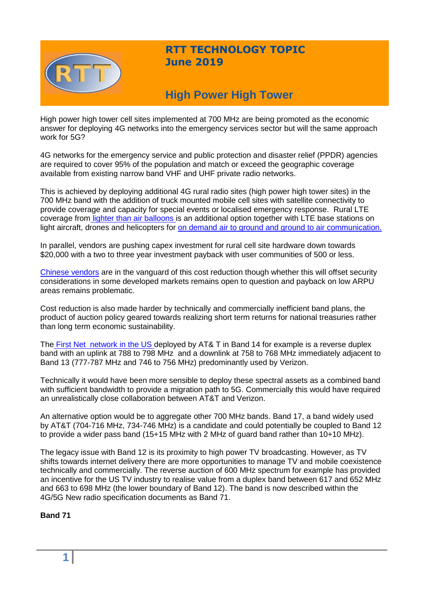

## **RTT TECHNOLOGY TOPIC June 2019**

# **High Power High Tower**

High power high tower cell sites implemented at 700 MHz are being promoted as the economic answer for deploying 4G networks into the emergency services sector but will the same approach work for 5G?

4G networks for the emergency service and public protection and disaster relief (PPDR) agencies are required to cover 95% of the population and match or exceed the geographic coverage available from existing narrow band VHF and UHF private radio networks.

This is achieved by deploying additional 4G rural radio sites (high power high tower sites) in the 700 MHz band with the addition of truck mounted mobile cell sites with satellite connectivity to provide coverage and capacity for special events or localised emergency response. Rural LTE coverage from [lighter than air balloons i](http://www.altaeros.com/)s an additional option together with LTE base stations on light aircraft, drones and helicopters for [on demand air to ground and ground to air communication.](https://www.youtube.com/watch?v=4D4ZwheoFro)

In parallel, vendors are pushing capex investment for rural cell site hardware down towards \$20,000 with a two to three year investment payback with user communities of 500 or less.

[Chinese vendors](https://www.huawei.com/en/press-events/news/2018/4/MTN-Nigeria-Commercial-Deployment-RuralStar2) are in the vanguard of this cost reduction though whether this will offset security considerations in some developed markets remains open to question and payback on low ARPU areas remains problematic.

Cost reduction is also made harder by technically and commercially inefficient band plans, the product of auction policy geared towards realizing short term returns for national treasuries rather than long term economic sustainability.

The First [Net network](https://www.firstnet.com/marketing/index.html#/marketing/index/home) in the US deployed by AT& T in Band 14 for example is a reverse duplex band with an uplink at 788 to 798 MHz and a downlink at 758 to 768 MHz immediately adjacent to Band 13 (777-787 MHz and 746 to 756 MHz) predominantly used by Verizon.

Technically it would have been more sensible to deploy these spectral assets as a combined band with sufficient bandwidth to provide a migration path to 5G. Commercially this would have required an unrealistically close collaboration between AT&T and Verizon.

An alternative option would be to aggregate other 700 MHz bands. Band 17, a band widely used by AT&T (704-716 MHz, 734-746 MHz) is a candidate and could potentially be coupled to Band 12 to provide a wider pass band (15+15 MHz with 2 MHz of guard band rather than 10+10 MHz).

The legacy issue with Band 12 is its proximity to high power TV broadcasting. However, as TV shifts towards internet delivery there are more opportunities to manage TV and mobile coexistence technically and commercially. The reverse auction of 600 MHz spectrum for example has provided an incentive for the US TV industry to realise value from a duplex band between 617 and 652 MHz and 663 to 698 MHz (the lower boundary of Band 12). The band is now described within the 4G/5G New radio specification documents as Band 71.

**Band 71**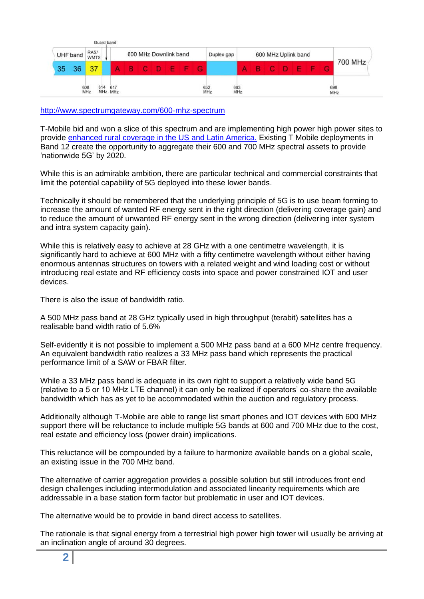| UHF band | RAS/<br><b>WMTS</b> |     | 600 MHz Downlink band |  |    |  |   |  | Duplex gap | 600 MHz Uplink band |  |  |   |         |  |  |  |     |
|----------|---------------------|-----|-----------------------|--|----|--|---|--|------------|---------------------|--|--|---|---------|--|--|--|-----|
| 36<br>35 | 37                  |     |                       |  | C. |  | A |  |            |                     |  |  | G | 700 MHz |  |  |  |     |
|          | 608<br>MHz          | 614 | 617                   |  |    |  |   |  |            | 652<br>MHz<br>663   |  |  |   |         |  |  |  | 698 |

<http://www.spectrumgateway.com/600-mhz-spectrum>

T-Mobile bid and won a slice of this spectrum and are implementing high power high power sites to provide [enhanced rural coverage in the US and Latin America.](https://www.t-mobile.com/news/600-mhz-update-puerto-rico) Existing T Mobile deployments in Band 12 create the opportunity to aggregate their 600 and 700 MHz spectral assets to provide 'nationwide 5G' by 2020.

While this is an admirable ambition, there are particular technical and commercial constraints that limit the potential capability of 5G deployed into these lower bands.

Technically it should be remembered that the underlying principle of 5G is to use beam forming to increase the amount of wanted RF energy sent in the right direction (delivering coverage gain) and to reduce the amount of unwanted RF energy sent in the wrong direction (delivering inter system and intra system capacity gain).

While this is relatively easy to achieve at 28 GHz with a one centimetre wavelength, it is significantly hard to achieve at 600 MHz with a fifty centimetre wavelength without either having enormous antennas structures on towers with a related weight and wind loading cost or without introducing real estate and RF efficiency costs into space and power constrained IOT and user devices.

There is also the issue of bandwidth ratio.

A 500 MHz pass band at 28 GHz typically used in high throughput (terabit) satellites has a realisable band width ratio of 5.6%

Self-evidently it is not possible to implement a 500 MHz pass band at a 600 MHz centre frequency. An equivalent bandwidth ratio realizes a 33 MHz pass band which represents the practical performance limit of a SAW or FBAR filter.

While a 33 MHz pass band is adequate in its own right to support a relatively wide band 5G (relative to a 5 or 10 MHz LTE channel) it can only be realized if operators' co-share the available bandwidth which has as yet to be accommodated within the auction and regulatory process.

Additionally although T-Mobile are able to range list smart phones and IOT devices with 600 MHz support there will be reluctance to include multiple 5G bands at 600 and 700 MHz due to the cost, real estate and efficiency loss (power drain) implications.

This reluctance will be compounded by a failure to harmonize available bands on a global scale, an existing issue in the 700 MHz band.

The alternative of carrier aggregation provides a possible solution but still introduces front end design challenges including intermodulation and associated linearity requirements which are addressable in a base station form factor but problematic in user and IOT devices.

The alternative would be to provide in band direct access to satellites.

The rationale is that signal energy from a terrestrial high power high tower will usually be arriving at an inclination angle of around 30 degrees.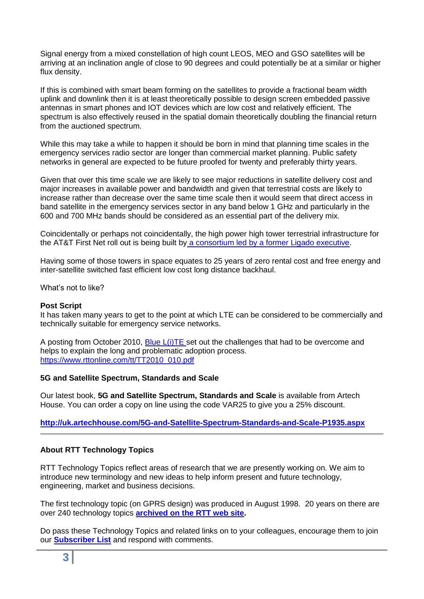Signal energy from a mixed constellation of high count LEOS, MEO and GSO satellites will be arriving at an inclination angle of close to 90 degrees and could potentially be at a similar or higher flux density.

If this is combined with smart beam forming on the satellites to provide a fractional beam width uplink and downlink then it is at least theoretically possible to design screen embedded passive antennas in smart phones and IOT devices which are low cost and relatively efficient. The spectrum is also effectively reused in the spatial domain theoretically doubling the financial return from the auctioned spectrum.

While this may take a while to happen it should be born in mind that planning time scales in the emergency services radio sector are longer than commercial market planning. Public safety networks in general are expected to be future proofed for twenty and preferably thirty years.

Given that over this time scale we are likely to see major reductions in satellite delivery cost and major increases in available power and bandwidth and given that terrestrial costs are likely to increase rather than decrease over the same time scale then it would seem that direct access in band satellite in the emergency services sector in any band below 1 GHz and particularly in the 600 and 700 MHz bands should be considered as an essential part of the delivery mix.

Coincidentally or perhaps not coincidentally, the high power high tower terrestrial infrastructure for the AT&T First Net roll out is being built by [a consortium led by a former Ligado executive.](https://about.att.com/story/2018/hundreds_of_cell_towers.html)

Having some of those towers in space equates to 25 years of zero rental cost and free energy and inter-satellite switched fast efficient low cost long distance backhaul.

What's not to like?

## **Post Script**

It has taken many years to get to the point at which LTE can be considered to be commercially and technically suitable for emergency service networks.

A posting from October 2010, [Blue L\(i\)TE s](https://www.rttonline.com/tt/TT2010_010.pdf)et out the challenges that had to be overcome and helps to explain the long and problematic adoption process. [https://www.rttonline.com/tt/TT2010\\_010.pdf](https://www.rttonline.com/tt/TT2010_010.pdf)

#### **5G and Satellite Spectrum, Standards and Scale**

Our latest book, **5G and Satellite Spectrum, Standards and Scale** is available from Artech House. You can order a copy on line using the code VAR25 to give you a 25% discount.

## **<http://uk.artechhouse.com/5G-and-Satellite-Spectrum-Standards-and-Scale-P1935.aspx>**

## **About RTT Technology Topics**

RTT Technology Topics reflect areas of research that we are presently working on. We aim to introduce new terminology and new ideas to help inform present and future technology, engineering, market and business decisions.

The first technology topic (on GPRS design) was produced in August 1998. 20 years on there are over 240 technology topics **[archived on the RTT web site.](http://www.rttonline.com/sitemap.html)**

Do pass these Technology Topics and related links on to your colleagues, encourage them to join our **[Subscriber List](mailto:geoff@rttonline.com?subject=Please%20put%20me%20on%20the%20RTT%20Push%20List)** and respond with comments.